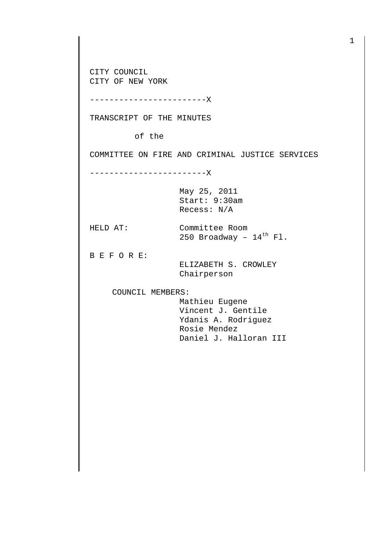CITY COUNCIL CITY OF NEW YORK

------------------------X

TRANSCRIPT OF THE MINUTES

of the

COMMITTEE ON FIRE AND CRIMINAL JUSTICE SERVICES

------------------------X

May 25, 2011 Start: 9:30am Recess: N/A

HELD AT: Committee Room 250 Broadway -  $14^{\text{th}}$  Fl.

B E F O R E:

 ELIZABETH S. CROWLEY Chairperson

COUNCIL MEMBERS:

 Mathieu Eugene Vincent J. Gentile Ydanis A. Rodriguez Rosie Mendez Daniel J. Halloran III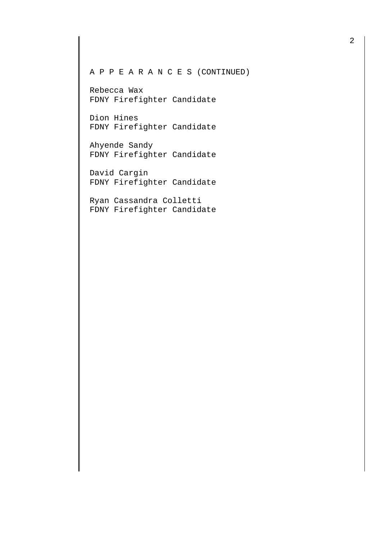A P P E A R A N C E S (CONTINUED)

Rebecca Wax FDNY Firefighter Candidate

Dion Hines FDNY Firefighter Candidate

Ahyende Sandy FDNY Firefighter Candidate

David Cargin FDNY Firefighter Candidate

Ryan Cassandra Colletti FDNY Firefighter Candidate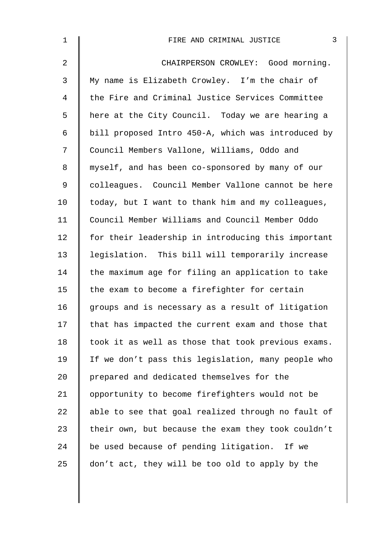| $\mathbf 1$    | $\mathfrak{Z}$<br>FIRE AND CRIMINAL JUSTICE        |
|----------------|----------------------------------------------------|
| $\overline{a}$ | CHAIRPERSON CROWLEY: Good morning.                 |
| 3              | My name is Elizabeth Crowley. I'm the chair of     |
| 4              | the Fire and Criminal Justice Services Committee   |
| 5              | here at the City Council. Today we are hearing a   |
| 6              | bill proposed Intro 450-A, which was introduced by |
| 7              | Council Members Vallone, Williams, Oddo and        |
| 8              | myself, and has been co-sponsored by many of our   |
| $\mathsf 9$    | colleagues. Council Member Vallone cannot be here  |
| 10             | today, but I want to thank him and my colleagues,  |
| 11             | Council Member Williams and Council Member Oddo    |
| 12             | for their leadership in introducing this important |
| 13             | legislation. This bill will temporarily increase   |
| 14             | the maximum age for filing an application to take  |
| 15             | the exam to become a firefighter for certain       |
| 16             | groups and is necessary as a result of litigation  |
| 17             | that has impacted the current exam and those that  |
| 18             | took it as well as those that took previous exams. |
| 19             | If we don't pass this legislation, many people who |
| 20             | prepared and dedicated themselves for the          |
| 21             | opportunity to become firefighters would not be    |
| 22             | able to see that goal realized through no fault of |
| 23             | their own, but because the exam they took couldn't |
| 24             | be used because of pending litigation. If we       |
| 25             | don't act, they will be too old to apply by the    |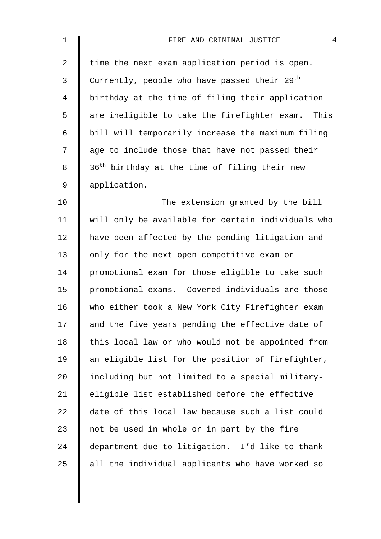| $\mathbf 1$    | $\overline{4}$<br>FIRE AND CRIMINAL JUSTICE               |
|----------------|-----------------------------------------------------------|
| $\overline{2}$ | time the next exam application period is open.            |
| 3              | Currently, people who have passed their 29 <sup>th</sup>  |
| 4              | birthday at the time of filing their application          |
| 5              | are ineligible to take the firefighter exam. This         |
| 6              | bill will temporarily increase the maximum filing         |
| 7              | age to include those that have not passed their           |
| 8              | 36 <sup>th</sup> birthday at the time of filing their new |
| $\mathsf 9$    | application.                                              |
| 10             | The extension granted by the bill                         |
| 11             | will only be available for certain individuals who        |
| 12             | have been affected by the pending litigation and          |
| 13             | only for the next open competitive exam or                |
| 14             | promotional exam for those eligible to take such          |
| 15             | promotional exams. Covered individuals are those          |
| 16             | who either took a New York City Firefighter exam          |
| 17             | and the five years pending the effective date of          |
| 18             | this local law or who would not be appointed from         |
| 19             | an eligible list for the position of firefighter,         |
| 20             | including but not limited to a special military-          |
| 21             | eligible list established before the effective            |
| 22             | date of this local law because such a list could          |
| 23             | not be used in whole or in part by the fire               |
| 24             | department due to litigation. I'd like to thank           |
| 25             | all the individual applicants who have worked so          |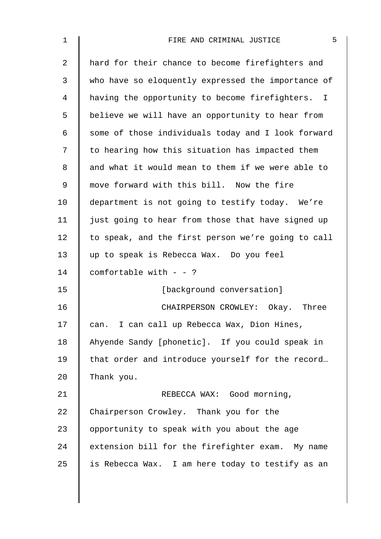| $\mathbf 1$    | 5<br>FIRE AND CRIMINAL JUSTICE                     |
|----------------|----------------------------------------------------|
| $\overline{2}$ | hard for their chance to become firefighters and   |
| 3              | who have so eloquently expressed the importance of |
| 4              | having the opportunity to become firefighters. I   |
| 5              | believe we will have an opportunity to hear from   |
| $\epsilon$     | some of those individuals today and I look forward |
| 7              | to hearing how this situation has impacted them    |
| 8              | and what it would mean to them if we were able to  |
| 9              | move forward with this bill. Now the fire          |
| 10             | department is not going to testify today. We're    |
| 11             | just going to hear from those that have signed up  |
| 12             | to speak, and the first person we're going to call |
| 13             | up to speak is Rebecca Wax. Do you feel            |
| 14             | comfortable with $-$ - ?                           |
| 15             | [background conversation]                          |
| 16             | CHAIRPERSON CROWLEY:<br>Okay. Three                |
| 17             | can. I can call up Rebecca Wax, Dion Hines,        |
| 18             | Ahyende Sandy [phonetic]. If you could speak in    |
| 19             | that order and introduce yourself for the record   |
| 20             | Thank you.                                         |
| 21             | REBECCA WAX: Good morning,                         |
| 22             | Chairperson Crowley. Thank you for the             |
| 23             | opportunity to speak with you about the age        |
| 24             | extension bill for the firefighter exam. My name   |
| 25             | is Rebecca Wax. I am here today to testify as an   |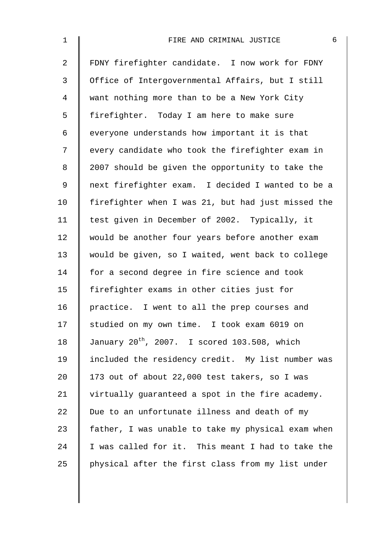| $\mathbf 1$    | 6<br>FIRE AND CRIMINAL JUSTICE                           |
|----------------|----------------------------------------------------------|
| $\overline{2}$ | FDNY firefighter candidate. I now work for FDNY          |
| 3              | Office of Intergovernmental Affairs, but I still         |
| $\overline{4}$ | want nothing more than to be a New York City             |
| 5              | firefighter. Today I am here to make sure                |
| 6              | everyone understands how important it is that            |
| 7              | every candidate who took the firefighter exam in         |
| $\,8\,$        | 2007 should be given the opportunity to take the         |
| $\mathsf 9$    | next firefighter exam. I decided I wanted to be a        |
| 10             | firefighter when I was 21, but had just missed the       |
| 11             | test given in December of 2002. Typically, it            |
| 12             | would be another four years before another exam          |
| 13             | would be given, so I waited, went back to college        |
| 14             | for a second degree in fire science and took             |
| 15             | firefighter exams in other cities just for               |
| 16             | practice. I went to all the prep courses and             |
| 17             | studied on my own time. I took exam 6019 on              |
| 18             | January 20 <sup>th</sup> , 2007. I scored 103.508, which |
| 19             | included the residency credit. My list number was        |
| 20             | 173 out of about 22,000 test takers, so I was            |
| 21             | virtually guaranteed a spot in the fire academy.         |
| 22             | Due to an unfortunate illness and death of my            |
| 23             | father, I was unable to take my physical exam when       |
| 24             | I was called for it. This meant I had to take the        |
| 25             | physical after the first class from my list under        |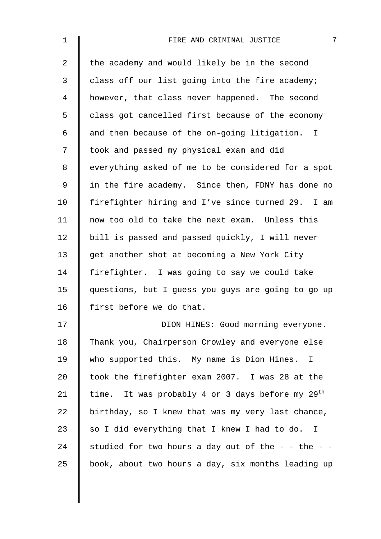| $\mathbf 1$    | 7<br>FIRE AND CRIMINAL JUSTICE                        |
|----------------|-------------------------------------------------------|
| $\overline{2}$ | the academy and would likely be in the second         |
| 3              | class off our list going into the fire academy;       |
| 4              | however, that class never happened. The second        |
| 5              | class got cancelled first because of the economy      |
| 6              | and then because of the on-going litigation. I        |
| 7              | took and passed my physical exam and did              |
| 8              | everything asked of me to be considered for a spot    |
| $\mathsf 9$    | in the fire academy. Since then, FDNY has done no     |
| 10             | firefighter hiring and I've since turned 29. I am     |
| 11             | now too old to take the next exam. Unless this        |
| 12             | bill is passed and passed quickly, I will never       |
| 13             | get another shot at becoming a New York City          |
| 14             | firefighter. I was going to say we could take         |
| 15             | questions, but I guess you guys are going to go up    |
| 16             | first before we do that.                              |
| 17             | DION HINES: Good morning everyone.                    |
| 18             | Thank you, Chairperson Crowley and everyone else      |
| 19             | who supported this. My name is Dion Hines. I          |
| 20             | took the firefighter exam 2007. I was 28 at the       |
| 21             | time. It was probably 4 or 3 days before my $29^{th}$ |
| 22             | birthday, so I knew that was my very last chance,     |
| 23             | so I did everything that I knew I had to do. I        |
| 24             | studied for two hours a day out of the - - the - -    |
| 25             | book, about two hours a day, six months leading up    |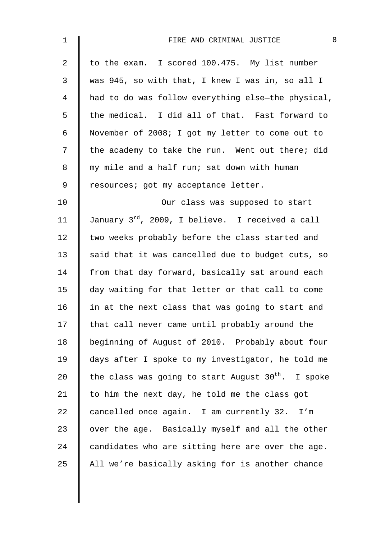| $\mathbf 1$    | 8<br>FIRE AND CRIMINAL JUSTICE                                 |
|----------------|----------------------------------------------------------------|
| $\overline{2}$ | to the exam. I scored 100.475. My list number                  |
| 3              | was 945, so with that, I knew I was in, so all I               |
| 4              | had to do was follow everything else-the physical,             |
| 5              | the medical. I did all of that. Fast forward to                |
| 6              | November of 2008; I got my letter to come out to               |
| 7              | the academy to take the run. Went out there; did               |
| 8              | my mile and a half run; sat down with human                    |
| 9              | resources; got my acceptance letter.                           |
| 10             | Our class was supposed to start                                |
| 11             | January 3 <sup>rd</sup> , 2009, I believe. I received a call   |
| 12             | two weeks probably before the class started and                |
| 13             | said that it was cancelled due to budget cuts, so              |
| 14             | from that day forward, basically sat around each               |
| 15             | day waiting for that letter or that call to come               |
| 16             | in at the next class that was going to start and               |
| 17             | that call never came until probably around the                 |
| 18             | beginning of August of 2010. Probably about four               |
| 19             | days after I spoke to my investigator, he told me              |
| 20             | the class was going to start August 30 <sup>th</sup> . I spoke |
| 21             | to him the next day, he told me the class got                  |
| 22             | cancelled once again. I am currently 32. I'm                   |
| 23             | over the age. Basically myself and all the other               |
| 24             | candidates who are sitting here are over the age.              |
| 25             | All we're basically asking for is another chance               |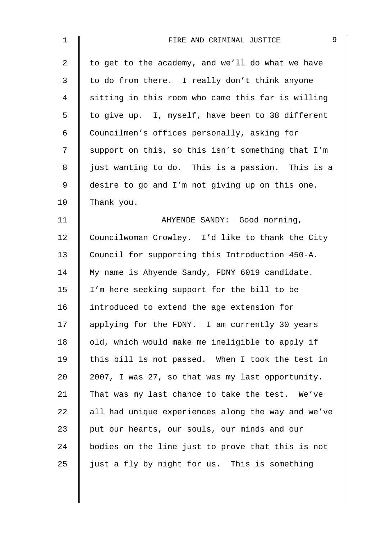| $\mathbf 1$ | 9<br>FIRE AND CRIMINAL JUSTICE                     |
|-------------|----------------------------------------------------|
| 2           | to get to the academy, and we'll do what we have   |
| 3           | to do from there. I really don't think anyone      |
| 4           | sitting in this room who came this far is willing  |
| 5           | to give up. I, myself, have been to 38 different   |
| 6           | Councilmen's offices personally, asking for        |
| 7           | support on this, so this isn't something that I'm  |
| 8           | just wanting to do. This is a passion. This is a   |
| 9           | desire to go and I'm not giving up on this one.    |
| 10          | Thank you.                                         |
| 11          | AHYENDE SANDY: Good morning,                       |
| 12          | Councilwoman Crowley. I'd like to thank the City   |
| 13          | Council for supporting this Introduction 450-A.    |
| 14          | My name is Ahyende Sandy, FDNY 6019 candidate.     |
| 15          | I'm here seeking support for the bill to be        |
| 16          | introduced to extend the age extension for         |
| 17          | applying for the FDNY. I am currently 30 years     |
| 18          | old, which would make me ineligible to apply if    |
| 19          | this bill is not passed. When I took the test in   |
| 20          | 2007, I was 27, so that was my last opportunity.   |
| 21          | That was my last chance to take the test. We've    |
| 22          | all had unique experiences along the way and we've |
| 23          | put our hearts, our souls, our minds and our       |
| 24          | bodies on the line just to prove that this is not  |
| 25          | just a fly by night for us. This is something      |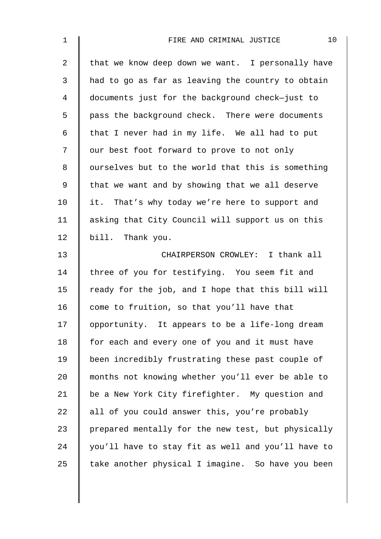| $\mathbf 1$    | 10<br>FIRE AND CRIMINAL JUSTICE                    |
|----------------|----------------------------------------------------|
| 2              | that we know deep down we want. I personally have  |
| 3              | had to go as far as leaving the country to obtain  |
| $\overline{4}$ | documents just for the background check-just to    |
| 5              | pass the background check. There were documents    |
| 6              | that I never had in my life. We all had to put     |
| 7              | our best foot forward to prove to not only         |
| 8              | ourselves but to the world that this is something  |
| $\mathsf 9$    | that we want and by showing that we all deserve    |
| 10             | it. That's why today we're here to support and     |
| 11             | asking that City Council will support us on this   |
| 12             | bill. Thank you.                                   |
| 13             | CHAIRPERSON CROWLEY: I thank all                   |
| 14             | three of you for testifying. You seem fit and      |
| 15             | ready for the job, and I hope that this bill will  |
| 16             | come to fruition, so that you'll have that         |
| 17             | opportunity. It appears to be a life-long dream    |
| 18             | for each and every one of you and it must have     |
| 19             | been incredibly frustrating these past couple of   |
| 20             | months not knowing whether you'll ever be able to  |
| 21             | be a New York City firefighter. My question and    |
| 22             | all of you could answer this, you're probably      |
| 23             | prepared mentally for the new test, but physically |
| 24             | you'll have to stay fit as well and you'll have to |
| 25             | take another physical I imagine. So have you been  |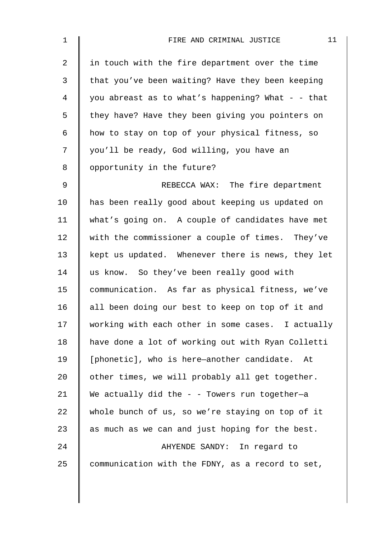| $\mathbf 1$    | 11<br>FIRE AND CRIMINAL JUSTICE                   |
|----------------|---------------------------------------------------|
| $\overline{a}$ | in touch with the fire department over the time   |
| 3              | that you've been waiting? Have they been keeping  |
| 4              | you abreast as to what's happening? What - - that |
| 5              | they have? Have they been giving you pointers on  |
| 6              | how to stay on top of your physical fitness, so   |
| 7              | you'll be ready, God willing, you have an         |
| 8              | opportunity in the future?                        |
| 9              | REBECCA WAX: The fire department                  |
| 10             | has been really good about keeping us updated on  |
| 11             | what's going on. A couple of candidates have met  |
| 12             | with the commissioner a couple of times. They've  |
| 13             | kept us updated. Whenever there is news, they let |
| 14             | us know. So they've been really good with         |
| 15             | communication. As far as physical fitness, we've  |
| 16             | all been doing our best to keep on top of it and  |
| 17             | working with each other in some cases. I actually |
| 18             | have done a lot of working out with Ryan Colletti |
| 19             | [phonetic], who is here-another candidate. At     |
| 20             | other times, we will probably all get together.   |
| 21             | We actually did the $-$ - Towers run together-a   |
| 22             | whole bunch of us, so we're staying on top of it  |
| 23             | as much as we can and just hoping for the best.   |
| 24             | AHYENDE SANDY: In regard to                       |
| 25             | communication with the FDNY, as a record to set,  |
|                |                                                   |
|                |                                                   |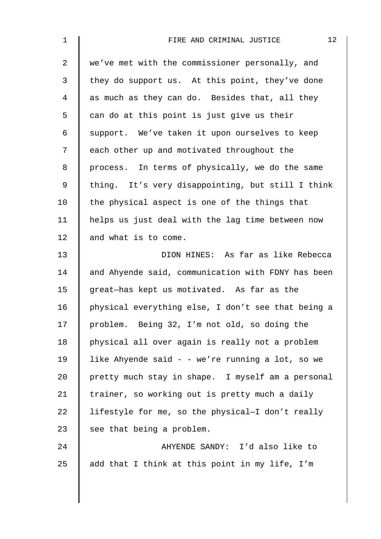| 1              | 12<br>FIRE AND CRIMINAL JUSTICE                    |
|----------------|----------------------------------------------------|
| $\overline{2}$ | we've met with the commissioner personally, and    |
| 3              | they do support us. At this point, they've done    |
| $\overline{4}$ | as much as they can do. Besides that, all they     |
| 5              | can do at this point is just give us their         |
| 6              | support. We've taken it upon ourselves to keep     |
| 7              | each other up and motivated throughout the         |
| 8              | process. In terms of physically, we do the same    |
| 9              | thing. It's very disappointing, but still I think  |
| 10             | the physical aspect is one of the things that      |
| 11             | helps us just deal with the lag time between now   |
| 12             | and what is to come.                               |
| 13             | DION HINES: As far as like Rebecca                 |
| 14             | and Ahyende said, communication with FDNY has been |
| 15             | great-has kept us motivated. As far as the         |
| 16             | physical everything else, I don't see that being a |
| 17             | problem. Being 32, I'm not old, so doing the       |
| 18             | physical all over again is really not a problem    |
| 19             | like Ahyende said - - we're running a lot, so we   |
| 20             | pretty much stay in shape. I myself am a personal  |
| 21             | trainer, so working out is pretty much a daily     |
| 22             | lifestyle for me, so the physical-I don't really   |
| 23             | see that being a problem.                          |
| 24             | AHYENDE SANDY: I'd also like to                    |
| 25             | add that I think at this point in my life, I'm     |
|                |                                                    |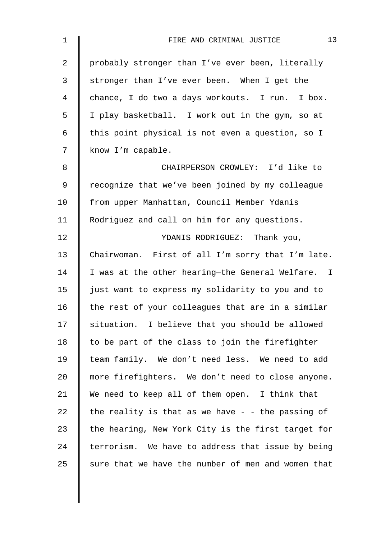| $\mathbf{1}$   | 13<br>FIRE AND CRIMINAL JUSTICE                     |
|----------------|-----------------------------------------------------|
| $\overline{a}$ | probably stronger than I've ever been, literally    |
| 3              | stronger than I've ever been. When I get the        |
| 4              | chance, I do two a days workouts. I run. I box.     |
| 5              | I play basketball. I work out in the gym, so at     |
| 6              | this point physical is not even a question, so I    |
| 7              | know I'm capable.                                   |
| 8              | CHAIRPERSON CROWLEY: I'd like to                    |
| 9              | recognize that we've been joined by my colleague    |
| 10             | from upper Manhattan, Council Member Ydanis         |
| 11             | Rodriguez and call on him for any questions.        |
| 12             | YDANIS RODRIGUEZ: Thank you,                        |
| 13             | Chairwoman. First of all I'm sorry that I'm late.   |
| 14             | I was at the other hearing-the General Welfare. I   |
| 15             | just want to express my solidarity to you and to    |
| 16             | the rest of your colleagues that are in a similar   |
| 17             | situation. I believe that you should be allowed     |
| 18             | to be part of the class to join the firefighter     |
| 19             | team family. We don't need less. We need to add     |
| 20             | more firefighters. We don't need to close anyone.   |
| 21             | We need to keep all of them open. I think that      |
| 22             | the reality is that as we have $-$ - the passing of |
| 23             | the hearing, New York City is the first target for  |
| 24             | terrorism. We have to address that issue by being   |
| 25             | sure that we have the number of men and women that  |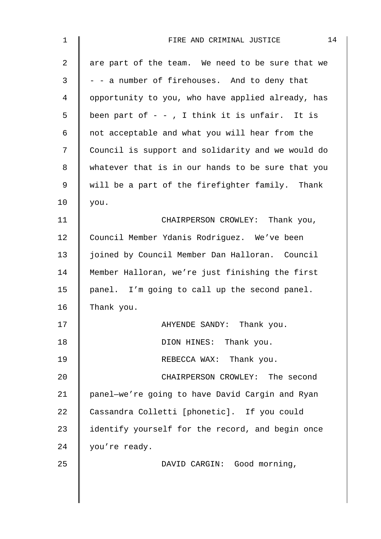| $\mathbf 1$ | 14<br>FIRE AND CRIMINAL JUSTICE                   |
|-------------|---------------------------------------------------|
| 2           | are part of the team. We need to be sure that we  |
| 3           | - - a number of firehouses. And to deny that      |
| 4           | opportunity to you, who have applied already, has |
| 5           | been part of $-$ , I think it is unfair. It is    |
| 6           | not acceptable and what you will hear from the    |
| 7           | Council is support and solidarity and we would do |
| 8           | whatever that is in our hands to be sure that you |
| $\mathsf 9$ | will be a part of the firefighter family. Thank   |
| 10          | you.                                              |
| 11          | CHAIRPERSON CROWLEY: Thank you,                   |
| 12          | Council Member Ydanis Rodriguez. We've been       |
| 13          | joined by Council Member Dan Halloran. Council    |
| 14          | Member Halloran, we're just finishing the first   |
| 15          | panel. I'm going to call up the second panel.     |
| 16          | Thank you.                                        |
| 17          | AHYENDE SANDY: Thank you.                         |
| 18          | DION HINES: Thank you.                            |
| 19          | REBECCA WAX: Thank you.                           |
| 20          | CHAIRPERSON CROWLEY: The second                   |
| 21          | panel-we're going to have David Cargin and Ryan   |
| 22          | Cassandra Colletti [phonetic]. If you could       |
| 23          | identify yourself for the record, and begin once  |
| 24          | you're ready.                                     |
| 25          | DAVID CARGIN: Good morning,                       |
|             |                                                   |
|             |                                                   |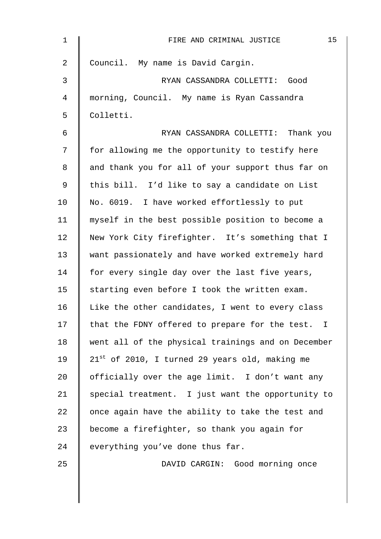| $\mathbf 1$ | 15<br>FIRE AND CRIMINAL JUSTICE                     |
|-------------|-----------------------------------------------------|
| 2           | Council. My name is David Cargin.                   |
| 3           | RYAN CASSANDRA COLLETTI: Good                       |
| 4           | morning, Council. My name is Ryan Cassandra         |
| 5           | Colletti.                                           |
| 6           | RYAN CASSANDRA COLLETTI: Thank you                  |
| 7           | for allowing me the opportunity to testify here     |
| 8           | and thank you for all of your support thus far on   |
| 9           | this bill. I'd like to say a candidate on List      |
| 10          | No. 6019. I have worked effortlessly to put         |
| 11          | myself in the best possible position to become a    |
| 12          | New York City firefighter. It's something that I    |
| 13          | want passionately and have worked extremely hard    |
| 14          | for every single day over the last five years,      |
| 15          | starting even before I took the written exam.       |
| 16          | Like the other candidates, I went to every class    |
| 17          | that the FDNY offered to prepare for the test. I    |
| 18          | went all of the physical trainings and on December  |
| 19          | $21^{st}$ of 2010, I turned 29 years old, making me |
| 20          | officially over the age limit. I don't want any     |
| 21          | special treatment. I just want the opportunity to   |
| 22          | once again have the ability to take the test and    |
| 23          | become a firefighter, so thank you again for        |
| 24          | everything you've done thus far.                    |
| 25          | DAVID CARGIN: Good morning once                     |
|             |                                                     |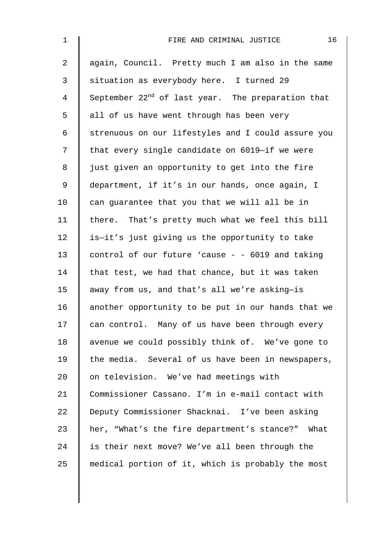| $\mathbf 1$    | 16<br>FIRE AND CRIMINAL JUSTICE                               |
|----------------|---------------------------------------------------------------|
| $\overline{2}$ | again, Council. Pretty much I am also in the same             |
| 3              | situation as everybody here. I turned 29                      |
| 4              | September 22 <sup>nd</sup> of last year. The preparation that |
| 5              | all of us have went through has been very                     |
| 6              | strenuous on our lifestyles and I could assure you            |
| 7              | that every single candidate on 6019-if we were                |
| 8              | just given an opportunity to get into the fire                |
| $\mathsf 9$    | department, if it's in our hands, once again, I               |
| 10             | can guarantee that you that we will all be in                 |
| 11             | there. That's pretty much what we feel this bill              |
| 12             | is-it's just giving us the opportunity to take                |
| 13             | control of our future 'cause $-$ - 6019 and taking            |
| 14             | that test, we had that chance, but it was taken               |
| 15             | away from us, and that's all we're asking-is                  |
| 16             | another opportunity to be put in our hands that we            |
| 17             | can control. Many of us have been through every               |
| 18             | avenue we could possibly think of. We've gone to              |
| 19             | the media. Several of us have been in newspapers,             |
| 20             | on television. We've had meetings with                        |
| 21             | Commissioner Cassano. I'm in e-mail contact with              |
| 22             | Deputy Commissioner Shacknai. I've been asking                |
| 23             | her, "What's the fire department's stance?" What              |
| 24             | is their next move? We've all been through the                |
| 25             | medical portion of it, which is probably the most             |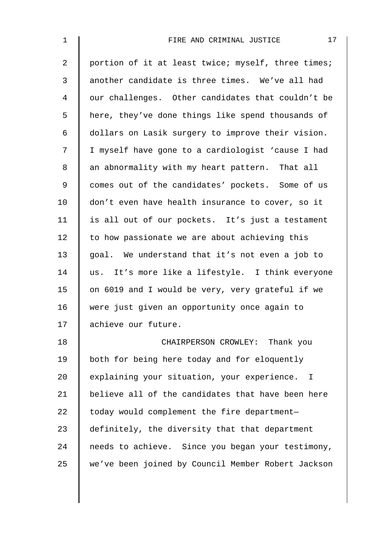| $\mathbf 1$    | 17<br>FIRE AND CRIMINAL JUSTICE                    |
|----------------|----------------------------------------------------|
| 2              | portion of it at least twice; myself, three times; |
| 3              | another candidate is three times. We've all had    |
| $\overline{4}$ | our challenges. Other candidates that couldn't be  |
| 5              | here, they've done things like spend thousands of  |
| 6              | dollars on Lasik surgery to improve their vision.  |
| 7              | I myself have gone to a cardiologist 'cause I had  |
| 8              | an abnormality with my heart pattern. That all     |
| $\mathsf 9$    | comes out of the candidates' pockets. Some of us   |
| 10             | don't even have health insurance to cover, so it   |
| 11             | is all out of our pockets. It's just a testament   |
| 12             | to how passionate we are about achieving this      |
| 13             | goal. We understand that it's not even a job to    |
| 14             | us. It's more like a lifestyle. I think everyone   |
| 15             | on 6019 and I would be very, very grateful if we   |
| 16             | were just given an opportunity once again to       |
| 17             | achieve our future.                                |
| 18             | CHAIRPERSON CROWLEY: Thank you                     |
| 19             | both for being here today and for eloquently       |
| 20             | explaining your situation, your experience. I      |
| 21             | believe all of the candidates that have been here  |
| 22             | today would complement the fire department-        |
| 23             | definitely, the diversity that that department     |
| 24             | needs to achieve. Since you began your testimony,  |
| 25             | we've been joined by Council Member Robert Jackson |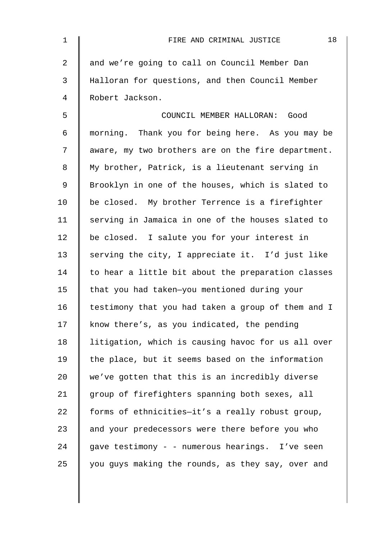| $\mathbf 1$ | 18<br>FIRE AND CRIMINAL JUSTICE                    |
|-------------|----------------------------------------------------|
| 2           | and we're going to call on Council Member Dan      |
| 3           | Halloran for questions, and then Council Member    |
| 4           | Robert Jackson.                                    |
| 5           | COUNCIL MEMBER HALLORAN: Good                      |
| 6           | morning. Thank you for being here. As you may be   |
| 7           | aware, my two brothers are on the fire department. |
| 8           | My brother, Patrick, is a lieutenant serving in    |
| 9           | Brooklyn in one of the houses, which is slated to  |
| 10          | be closed. My brother Terrence is a firefighter    |
| 11          | serving in Jamaica in one of the houses slated to  |
| 12          | be closed. I salute you for your interest in       |
| 13          | serving the city, I appreciate it. I'd just like   |
| 14          | to hear a little bit about the preparation classes |
| 15          | that you had taken-you mentioned during your       |
| 16          | testimony that you had taken a group of them and I |
| 17          | know there's, as you indicated, the pending        |
| 18          | litigation, which is causing havoc for us all over |
| 19          | the place, but it seems based on the information   |
| 20          | we've gotten that this is an incredibly diverse    |
| 21          | group of firefighters spanning both sexes, all     |
| 22          | forms of ethnicities-it's a really robust group,   |
| 23          | and your predecessors were there before you who    |
| 24          | gave testimony - - numerous hearings. I've seen    |
| 25          | you guys making the rounds, as they say, over and  |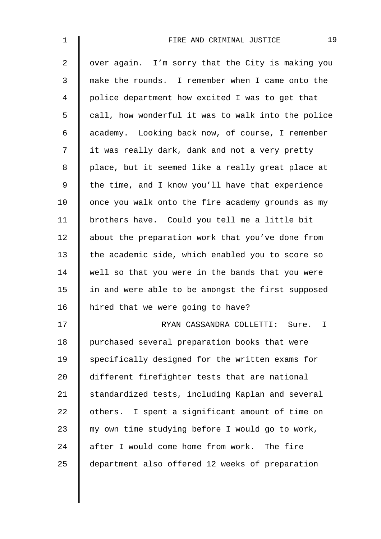| $\mathbf 1$    | 19<br>FIRE AND CRIMINAL JUSTICE                    |
|----------------|----------------------------------------------------|
| $\overline{2}$ | over again. I'm sorry that the City is making you  |
| 3              | make the rounds. I remember when I came onto the   |
| $\overline{4}$ | police department how excited I was to get that    |
| 5              | call, how wonderful it was to walk into the police |
| 6              | academy. Looking back now, of course, I remember   |
| 7              | it was really dark, dank and not a very pretty     |
| $\,8\,$        | place, but it seemed like a really great place at  |
| $\mathsf 9$    | the time, and I know you'll have that experience   |
| 10             | once you walk onto the fire academy grounds as my  |
| 11             | brothers have. Could you tell me a little bit      |
| 12             | about the preparation work that you've done from   |
| 13             | the academic side, which enabled you to score so   |
| 14             | well so that you were in the bands that you were   |
| 15             | in and were able to be amongst the first supposed  |
| 16             | hired that we were going to have?                  |
| 17             | RYAN CASSANDRA COLLETTI: Sure. I                   |
| 18             | purchased several preparation books that were      |
| 19             | specifically designed for the written exams for    |
| 20             | different firefighter tests that are national      |
| 21             | standardized tests, including Kaplan and several   |
| 22             | others. I spent a significant amount of time on    |
| 23             | my own time studying before I would go to work,    |
| 24             | after I would come home from work. The fire        |
| 25             | department also offered 12 weeks of preparation    |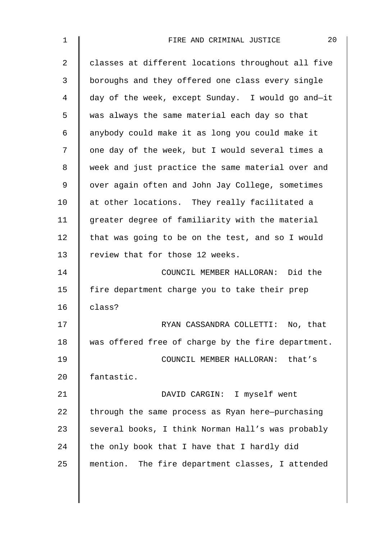| 20<br>FIRE AND CRIMINAL JUSTICE                    |
|----------------------------------------------------|
| classes at different locations throughout all five |
| boroughs and they offered one class every single   |
| day of the week, except Sunday. I would go and-it  |
| was always the same material each day so that      |
| anybody could make it as long you could make it    |
| one day of the week, but I would several times a   |
| week and just practice the same material over and  |
| over again often and John Jay College, sometimes   |
| at other locations. They really facilitated a      |
| greater degree of familiarity with the material    |
| that was going to be on the test, and so I would   |
| review that for those 12 weeks.                    |
| COUNCIL MEMBER HALLORAN: Did the                   |
| fire department charge you to take their prep      |
| class?                                             |
| RYAN CASSANDRA COLLETTI: No, that                  |
| was offered free of charge by the fire department. |
| COUNCIL MEMBER HALLORAN: that's                    |
| fantastic.                                         |
| DAVID CARGIN: I myself went                        |
| through the same process as Ryan here-purchasing   |
| several books, I think Norman Hall's was probably  |
| the only book that I have that I hardly did        |
| mention. The fire department classes, I attended   |
|                                                    |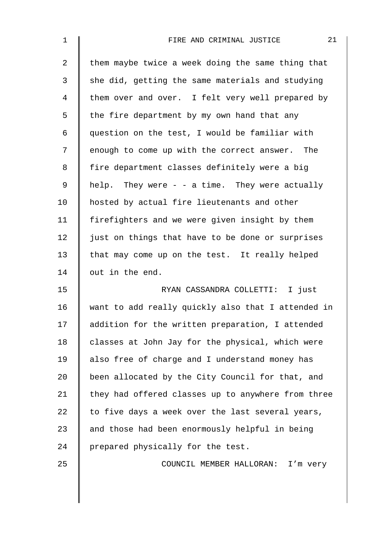| $\mathbf 1$    | 21<br>FIRE AND CRIMINAL JUSTICE                    |
|----------------|----------------------------------------------------|
| $\overline{a}$ | them maybe twice a week doing the same thing that  |
| 3              | she did, getting the same materials and studying   |
| 4              | them over and over. I felt very well prepared by   |
| 5              | the fire department by my own hand that any        |
| 6              | question on the test, I would be familiar with     |
| 7              | enough to come up with the correct answer. The     |
| 8              | fire department classes definitely were a big      |
| 9              | help. They were $ -$ a time. They were actually    |
| 10             | hosted by actual fire lieutenants and other        |
| 11             | firefighters and we were given insight by them     |
| 12             | just on things that have to be done or surprises   |
| 13             | that may come up on the test. It really helped     |
| 14             | out in the end.                                    |
| 15             | RYAN CASSANDRA COLLETTI: I just                    |
| 16             | want to add really quickly also that I attended in |
| 17             | addition for the written preparation, I attended   |
| 18             | classes at John Jay for the physical, which were   |
| 19             | also free of charge and I understand money has     |
| 20             | been allocated by the City Council for that, and   |
| 21             | they had offered classes up to anywhere from three |
| 22             | to five days a week over the last several years,   |
| 23             | and those had been enormously helpful in being     |
| 24             | prepared physically for the test.                  |
| 25             | COUNCIL MEMBER HALLORAN:<br>I'm very               |
|                |                                                    |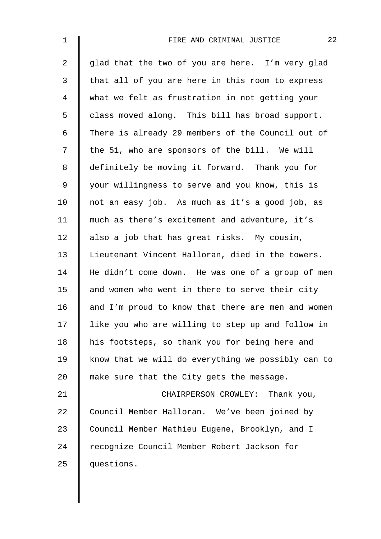| $\mathbf 1$    | 22<br>FIRE AND CRIMINAL JUSTICE                    |
|----------------|----------------------------------------------------|
| $\overline{2}$ | glad that the two of you are here. I'm very glad   |
| 3              | that all of you are here in this room to express   |
| $\overline{4}$ | what we felt as frustration in not getting your    |
| 5              | class moved along. This bill has broad support.    |
| 6              | There is already 29 members of the Council out of  |
| 7              | the 51, who are sponsors of the bill. We will      |
| 8              | definitely be moving it forward. Thank you for     |
| $\mathsf 9$    | your willingness to serve and you know, this is    |
| 10             | not an easy job. As much as it's a good job, as    |
| 11             | much as there's excitement and adventure, it's     |
| 12             | also a job that has great risks. My cousin,        |
| 13             | Lieutenant Vincent Halloran, died in the towers.   |
| 14             | He didn't come down. He was one of a group of men  |
| 15             | and women who went in there to serve their city    |
| 16             | and I'm proud to know that there are men and women |
| 17             | like you who are willing to step up and follow in  |
| 18             | his footsteps, so thank you for being here and     |
| 19             | know that we will do everything we possibly can to |
| 20             | make sure that the City gets the message.          |
| 21             | CHAIRPERSON CROWLEY: Thank you,                    |
| 22             | Council Member Halloran. We've been joined by      |
| 23             | Council Member Mathieu Eugene, Brooklyn, and I     |
| 24             | recognize Council Member Robert Jackson for        |
| 25             | questions.                                         |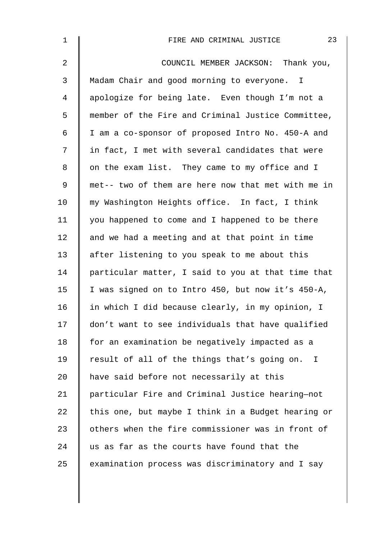| $\mathbf 1$ | 23<br>FIRE AND CRIMINAL JUSTICE                    |
|-------------|----------------------------------------------------|
| 2           | COUNCIL MEMBER JACKSON: Thank you,                 |
| 3           | Madam Chair and good morning to everyone. I        |
| 4           | apologize for being late. Even though I'm not a    |
| 5           | member of the Fire and Criminal Justice Committee, |
| 6           | I am a co-sponsor of proposed Intro No. 450-A and  |
| 7           | in fact, I met with several candidates that were   |
| 8           | on the exam list. They came to my office and I     |
| 9           | met-- two of them are here now that met with me in |
| 10          | my Washington Heights office. In fact, I think     |
| 11          | you happened to come and I happened to be there    |
| 12          | and we had a meeting and at that point in time     |
| 13          | after listening to you speak to me about this      |
| 14          | particular matter, I said to you at that time that |
| 15          | I was signed on to Intro 450, but now it's 450-A,  |
| 16          | in which I did because clearly, in my opinion, I   |
| 17          | don't want to see individuals that have qualified  |
| 18          | for an examination be negatively impacted as a     |
| 19          | result of all of the things that's going on. I     |
| 20          | have said before not necessarily at this           |
| 21          | particular Fire and Criminal Justice hearing-not   |
| 22          | this one, but maybe I think in a Budget hearing or |
| 23          | others when the fire commissioner was in front of  |
| 24          | us as far as the courts have found that the        |
| 25          | examination process was discriminatory and I say   |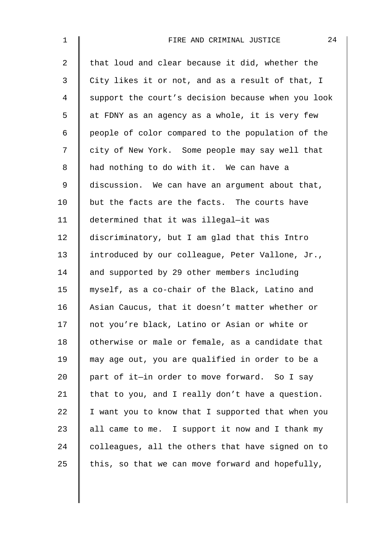| $\mathbf 1$    | 24<br>FIRE AND CRIMINAL JUSTICE                    |
|----------------|----------------------------------------------------|
| $\overline{2}$ | that loud and clear because it did, whether the    |
| $\mathfrak{Z}$ | City likes it or not, and as a result of that, I   |
| 4              | support the court's decision because when you look |
| 5              | at FDNY as an agency as a whole, it is very few    |
| 6              | people of color compared to the population of the  |
| 7              | city of New York. Some people may say well that    |
| 8              | had nothing to do with it. We can have a           |
| 9              | discussion. We can have an argument about that,    |
| 10             | but the facts are the facts. The courts have       |
| 11             | determined that it was illegal-it was              |
| 12             | discriminatory, but I am glad that this Intro      |
| 13             | introduced by our colleague, Peter Vallone, Jr.,   |
| 14             | and supported by 29 other members including        |
| 15             | myself, as a co-chair of the Black, Latino and     |
| 16             | Asian Caucus, that it doesn't matter whether or    |
| 17             | not you're black, Latino or Asian or white or      |
| 18             | otherwise or male or female, as a candidate that   |
| 19             | may age out, you are qualified in order to be a    |
| 20             | part of it-in order to move forward. So I say      |
| 21             | that to you, and I really don't have a question.   |
| 22             | I want you to know that I supported that when you  |
| 23             | all came to me. I support it now and I thank my    |
| 24             | colleagues, all the others that have signed on to  |
| 25             | this, so that we can move forward and hopefully,   |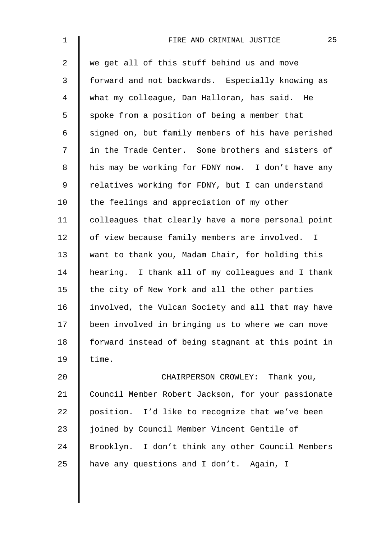| $\mathbf 1$    | 25<br>FIRE AND CRIMINAL JUSTICE                    |
|----------------|----------------------------------------------------|
| $\overline{2}$ | we get all of this stuff behind us and move        |
| 3              | forward and not backwards. Especially knowing as   |
| 4              | what my colleague, Dan Halloran, has said. He      |
| 5              | spoke from a position of being a member that       |
| 6              | signed on, but family members of his have perished |
| 7              | in the Trade Center. Some brothers and sisters of  |
| 8              | his may be working for FDNY now. I don't have any  |
| 9              | relatives working for FDNY, but I can understand   |
| 10             | the feelings and appreciation of my other          |
| 11             | colleagues that clearly have a more personal point |
| 12             | of view because family members are involved. I     |
| 13             | want to thank you, Madam Chair, for holding this   |
| 14             | hearing. I thank all of my colleagues and I thank  |
| 15             | the city of New York and all the other parties     |
| 16             | involved, the Vulcan Society and all that may have |
| 17             | been involved in bringing us to where we can move  |
| 18             | forward instead of being stagnant at this point in |
| 19             | time.                                              |
| 20             | CHAIRPERSON CROWLEY: Thank you,                    |
| 21             | Council Member Robert Jackson, for your passionate |
| 22             | position. I'd like to recognize that we've been    |
| 23             | joined by Council Member Vincent Gentile of        |
| 24             | Brooklyn. I don't think any other Council Members  |
| 25             | have any questions and I don't. Again, I           |
|                |                                                    |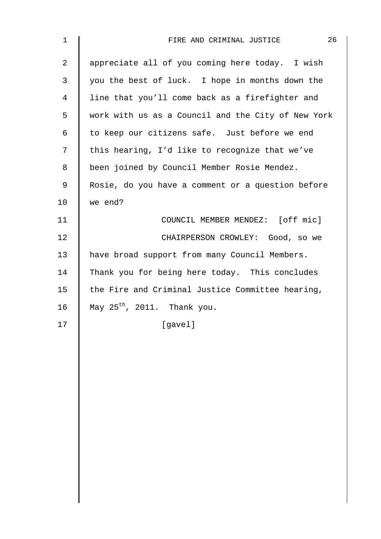| 1  | 26<br>FIRE AND CRIMINAL JUSTICE                    |
|----|----------------------------------------------------|
| 2  | appreciate all of you coming here today. I wish    |
| 3  | you the best of luck. I hope in months down the    |
| 4  | line that you'll come back as a firefighter and    |
| 5  | work with us as a Council and the City of New York |
| 6  | to keep our citizens safe. Just before we end      |
| 7  | this hearing, I'd like to recognize that we've     |
| 8  | been joined by Council Member Rosie Mendez.        |
| 9  | Rosie, do you have a comment or a question before  |
| 10 | we end?                                            |
| 11 | COUNCIL MEMBER MENDEZ: [off mic]                   |
| 12 | CHAIRPERSON CROWLEY: Good, so we                   |
| 13 | have broad support from many Council Members.      |
| 14 | Thank you for being here today. This concludes     |
| 15 | the Fire and Criminal Justice Committee hearing,   |
| 16 | May $25^{th}$ , 2011. Thank you.                   |
| 17 | [gavel]                                            |
|    |                                                    |
|    |                                                    |
|    |                                                    |
|    |                                                    |
|    |                                                    |
|    |                                                    |
|    |                                                    |
|    |                                                    |
|    |                                                    |
|    |                                                    |